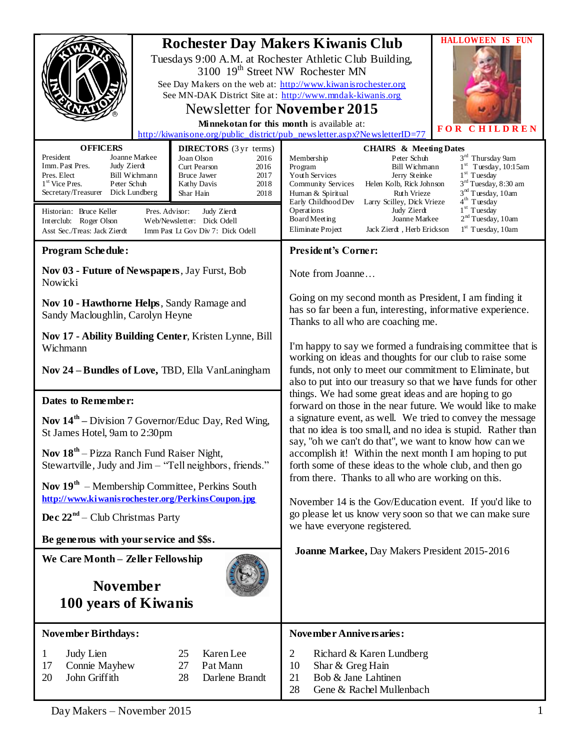|                                                                                                                                                                                                                                                                                                                                                                                                                                                                                                                                                     | <b>IS FUN</b><br><b>HALLOWEEN</b><br><b>Rochester Day Makers Kiwanis Club</b><br>Tuesdays 9:00 A.M. at Rochester Athletic Club Building,<br>3100 19 <sup>th</sup> Street NW Rochester MN<br>See Day Makers on the web at: http://www.kiwanisrochester.org<br>See MN-DAK District Site at: http://www.mndak-kiwanis.org<br>Newsletter for November 2015<br>Minnekotan for this month is available at:<br>FOR<br><b>CHILDREN</b><br>http://kiwanisone.org/public_district/pub_newsletter.aspx?NewsletterID=77                                                                                                                                 |
|-----------------------------------------------------------------------------------------------------------------------------------------------------------------------------------------------------------------------------------------------------------------------------------------------------------------------------------------------------------------------------------------------------------------------------------------------------------------------------------------------------------------------------------------------------|---------------------------------------------------------------------------------------------------------------------------------------------------------------------------------------------------------------------------------------------------------------------------------------------------------------------------------------------------------------------------------------------------------------------------------------------------------------------------------------------------------------------------------------------------------------------------------------------------------------------------------------------|
| <b>OFFICERS</b><br><b>DIRECTORS</b> (3 yr terms)<br>President<br>Joanne Markee<br>Joan Olson<br>2016<br>Imm. Past Pres.<br>Judy Zierdt<br>Curt Pearson<br>2016<br>2017<br>Pres. Elect<br>Bill Wichmann<br><b>Bruce Jawer</b><br>1 <sup>st</sup> Vice Pres.<br>Peter Schuh<br>2018<br>Kathy Davis<br>Secretary/Treasurer Dick Lundberg<br>Shar Hain<br>2018<br>Historian: Bruce Keller<br>Pres. Advisor:<br>Judy Zierdt<br>Web/Newsletter: Dick Odell<br>Interclub: Roger Olson<br>Asst Sec./Treas: Jack Zierdt<br>Imm Past Lt Gov Div 7: Dick Odell | <b>CHAIRS &amp; Meeting Dates</b><br>3 <sup>rd</sup> Thursday 9am<br>Peter Schuh<br>Membership<br>$1st$ Tuesday, 10:15am<br>Program<br><b>Bill Wichmann</b><br>$1st$ Tuesday<br>Youth Services<br>Jerry Steinke<br>3 <sup>rd</sup> Tuesday, 8:30 am<br>Community Services<br>Helen Kolb, Rick Johnson<br>3 <sup>nd</sup> Tuesday, 10am<br>Ruth Vrieze<br>Human & Spiritual<br>4 <sup>th</sup> Tuesday<br>Early Childhood Dev<br>Larry Scilley, Dick Vrieze<br>$1st$ Tuesday<br>Operations<br>Judy Zierdt<br>$2nd$ Tuesday, 10am<br>Board Meeting<br>Joanne Markee<br>$1st$ Tuesday, 10am<br>Eliminate Project<br>Jack Zierdt, Herb Erickson |
| <b>Program Schedule:</b>                                                                                                                                                                                                                                                                                                                                                                                                                                                                                                                            | President's Corner:                                                                                                                                                                                                                                                                                                                                                                                                                                                                                                                                                                                                                         |
| Nov 03 - Future of Newspapers, Jay Furst, Bob<br>Nowicki                                                                                                                                                                                                                                                                                                                                                                                                                                                                                            | Note from Joanne                                                                                                                                                                                                                                                                                                                                                                                                                                                                                                                                                                                                                            |
| Nov 10 - Hawthorne Helps, Sandy Ramage and<br>Sandy Macloughlin, Carolyn Heyne                                                                                                                                                                                                                                                                                                                                                                                                                                                                      | Going on my second month as President, I am finding it<br>has so far been a fun, interesting, informative experience.<br>Thanks to all who are coaching me.                                                                                                                                                                                                                                                                                                                                                                                                                                                                                 |
| Nov 17 - Ability Building Center, Kristen Lynne, Bill<br>Wichmann                                                                                                                                                                                                                                                                                                                                                                                                                                                                                   | I'm happy to say we formed a fundraising committee that is<br>working on ideas and thoughts for our club to raise some                                                                                                                                                                                                                                                                                                                                                                                                                                                                                                                      |
| Nov 24 - Bundles of Love, TBD, Ella VanLaningham                                                                                                                                                                                                                                                                                                                                                                                                                                                                                                    | funds, not only to meet our commitment to Eliminate, but<br>also to put into our treasury so that we have funds for other                                                                                                                                                                                                                                                                                                                                                                                                                                                                                                                   |
| Dates to Remember:                                                                                                                                                                                                                                                                                                                                                                                                                                                                                                                                  | things. We had some great ideas and are hoping to go<br>forward on those in the near future. We would like to make                                                                                                                                                                                                                                                                                                                                                                                                                                                                                                                          |
| <b>Nov <math>14^{\text{th}}</math></b> – Division 7 Governor/Educ Day, Red Wing,<br>St James Hotel, 9am to 2:30pm                                                                                                                                                                                                                                                                                                                                                                                                                                   | a signature event, as well. We tried to convey the message<br>that no idea is too small, and no idea is stupid. Rather than<br>say, "oh we can't do that", we want to know how can we                                                                                                                                                                                                                                                                                                                                                                                                                                                       |
| Nov 18 <sup>th</sup> – Pizza Ranch Fund Raiser Night,<br>Stewartville, Judy and Jim – "Tell neighbors, friends."                                                                                                                                                                                                                                                                                                                                                                                                                                    | accomplish it! Within the next month I am hoping to put<br>forth some of these ideas to the whole club, and then go                                                                                                                                                                                                                                                                                                                                                                                                                                                                                                                         |
| Nov $19th$ – Membership Committee, Perkins South<br>http://www.kiwanisrochester.org/PerkinsCoupon.jpg                                                                                                                                                                                                                                                                                                                                                                                                                                               | from there. Thanks to all who are working on this.<br>November 14 is the Gov/Education event. If you'd like to                                                                                                                                                                                                                                                                                                                                                                                                                                                                                                                              |
| <b>Dec</b> $22nd$ – Club Christmas Party                                                                                                                                                                                                                                                                                                                                                                                                                                                                                                            | go please let us know very soon so that we can make sure<br>we have everyone registered.                                                                                                                                                                                                                                                                                                                                                                                                                                                                                                                                                    |
| Be generous with your service and \$\$s.                                                                                                                                                                                                                                                                                                                                                                                                                                                                                                            |                                                                                                                                                                                                                                                                                                                                                                                                                                                                                                                                                                                                                                             |
| We Care Month - Zeller Fellowship                                                                                                                                                                                                                                                                                                                                                                                                                                                                                                                   | Joanne Markee, Day Makers President 2015-2016                                                                                                                                                                                                                                                                                                                                                                                                                                                                                                                                                                                               |
| <b>November</b><br>100 years of Kiwanis                                                                                                                                                                                                                                                                                                                                                                                                                                                                                                             |                                                                                                                                                                                                                                                                                                                                                                                                                                                                                                                                                                                                                                             |
| <b>November Birthdays:</b>                                                                                                                                                                                                                                                                                                                                                                                                                                                                                                                          | November Anniversaries:                                                                                                                                                                                                                                                                                                                                                                                                                                                                                                                                                                                                                     |
| 25<br>Karen Lee<br>Judy Lien<br>$\mathbf{1}$<br>Connie Mayhew<br>27<br>Pat Mann<br>17<br>20<br>John Griffith<br>Darlene Brandt<br>28                                                                                                                                                                                                                                                                                                                                                                                                                | $\overline{2}$<br>Richard & Karen Lundberg<br>10<br>Shar & Greg Hain<br>21<br>Bob & Jane Lahtinen<br>28<br>Gene & Rachel Mullenbach                                                                                                                                                                                                                                                                                                                                                                                                                                                                                                         |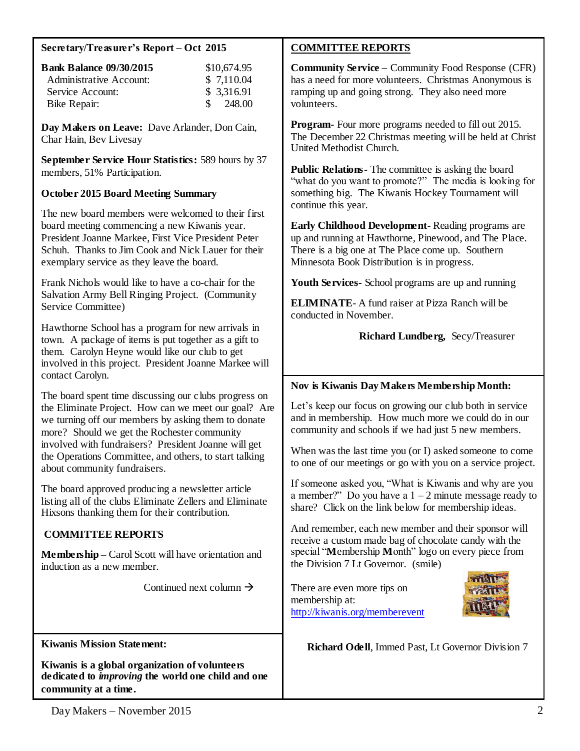### **Secretary/Treasurer's Report – Oct 2015**

| <b>Bank Balance 09/30/2015</b> | \$10,674.95             |
|--------------------------------|-------------------------|
| Administrative Account:        | \$7,110.04              |
| Service Account:               | \$3,316.91              |
| Bike Repair:                   | 248.00<br>$\mathcal{S}$ |

**Day Makers on Leave:** Dave Arlander, Don Cain, Char Hain, Bev Livesay

**September Service Hour Statistics:** 589 hours by 37 members, 51% Participation.

### **October 2015 Board Meeting Summary**

The new board members were welcomed to their first board meeting commencing a new Kiwanis year. President Joanne Markee, First Vice President Peter Schuh. Thanks to Jim Cook and Nick Lauer for their exemplary service as they leave the board.

Frank Nichols would like to have a co-chair for the Salvation Army Bell Ringing Project. (Community Service Committee)

Hawthorne School has a program for new arrivals in town. A package of items is put together as a gift to them. Carolyn Heyne would like our club to get involved in this project. President Joanne Markee will contact Carolyn.

The board spent time discussing our clubs progress on the Eliminate Project. How can we meet our goal? Are we turning off our members by asking them to donate more? Should we get the Rochester community involved with fundraisers? President Joanne will get the Operations Committee, and others, to start talking about community fundraisers.

The board approved producing a newsletter article listing all of the clubs Eliminate Zellers and Eliminate Hixsons thanking them for their contribution.

### **COMMITTEE REPORTS**

**Membership –** Carol Scott will have orientation and induction as a new member.

Continued next column  $\rightarrow$ 

**Kiwanis Mission Statement:**

**Kiwanis is a global organization of volunteers dedicated to** *improving* **the world one child and one community at a time.**

## **COMMITTEE REPORTS**

**Community Service –** Community Food Response (CFR) has a need for more volunteers. Christmas Anonymous is ramping up and going strong. They also need more volunteers.

**Program-** Four more programs needed to fill out 2015. The December 22 Christmas meeting will be held at Christ United Methodist Church.

**Public Relations-** The committee is asking the board "what do you want to promote?" The media is looking for something big. The Kiwanis Hockey Tournament will continue this year.

**Early Childhood Development-** Reading programs are up and running at Hawthorne, Pinewood, and The Place. There is a big one at The Place come up. Southern Minnesota Book Distribution is in progress.

**Youth Services-** School programs are up and running

**ELIMINATE**- A fund raiser at Pizza Ranch will be conducted in November.

### **Richard Lundberg,** Secy/Treasurer

### **Nov is Kiwanis Day Makers Membership Month:**

Let's keep our focus on growing our club both in service and in membership. How much more we could do in our community and schools if we had just 5 new members.

When was the last time you (or I) asked someone to come to one of our meetings or go with you on a service project.

If someone asked you, "What is Kiwanis and why are you a member?" Do you have a  $1 - 2$  minute message ready to share? Click on the link below for membership ideas.

And remember, each new member and their sponsor will receive a custom made bag of chocolate candy with the special "**M**embership **M**onth" logo on every piece from the Division 7 Lt Governor. (smile)

There are even more tips on membership at: <http://kiwanis.org/memberevent>



 **Richard Odell**, Immed Past, Lt Governor Division 7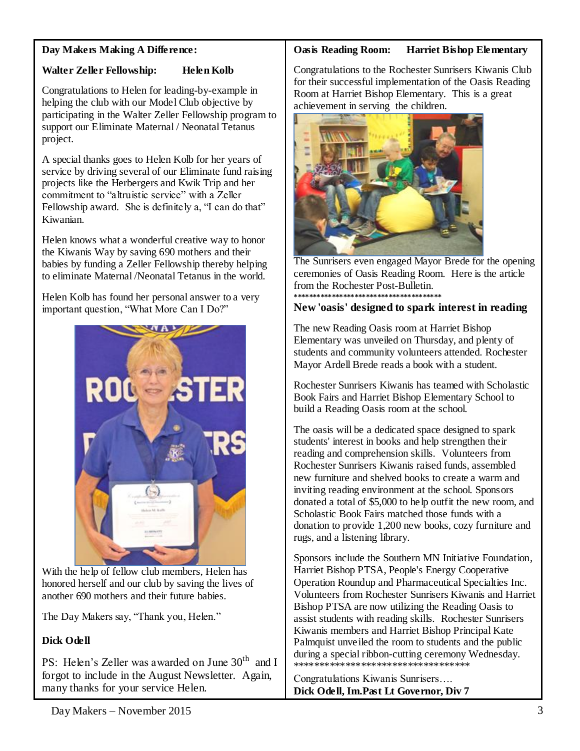## **Day Makers Making A Difference:**

# **Walter Zeller Fellowship: Helen Kolb**

Congratulations to Helen for leading-by-example in helping the club with our Model Club objective by participating in the Walter Zeller Fellowship program to support our Eliminate Maternal / Neonatal Tetanus project.

A special thanks goes to Helen Kolb for her years of service by driving several of our Eliminate fund raising projects like the Herbergers and Kwik Trip and her commitment to "altruistic service" with a Zeller Fellowship award. She is definitely a, "I can do that" Kiwanian.

Helen knows what a wonderful creative way to honor the Kiwanis Way by saving 690 mothers and their babies by funding a Zeller Fellowship thereby helping to eliminate Maternal /Neonatal Tetanus in the world.

Helen Kolb has found her personal answer to a very important question, "What More Can I Do?"



With the help of fellow club members, Helen has honored herself and our club by saving the lives of another 690 mothers and their future babies.

The Day Makers say, "Thank you, Helen."

# **Dick Odell**

PS: Helen's Zeller was awarded on June 30<sup>th</sup> and I forgot to include in the August Newsletter. Again, many thanks for your service Helen.

# **Oasis Reading Room: Harriet Bishop Elementary**

Congratulations to the Rochester Sunrisers Kiwanis Club for their successful implementation of the Oasis Reading Room at Harriet Bishop Elementary. This is a great achievement in serving the children.



The Sunrisers even engaged Mayor Brede for the opening ceremonies of Oasis Reading Room. Here is the article from the Rochester Post-Bulletin. **\*\*\*\*\*\*\*\*\*\*\*\*\*\*\*\*\*\*\*\*\*\*\*\*\*\*\*\*\*\*\*\*\*\*\*\*\*\*\***

## **New 'oasis' designed to spark interest in reading**

The new Reading Oasis room at Harriet Bishop Elementary was unveiled on Thursday, and plenty of students and community volunteers attended. Rochester Mayor Ardell Brede reads a book with a student.

Rochester Sunrisers Kiwanis has teamed with Scholastic Book Fairs and Harriet Bishop Elementary School to build a Reading Oasis room at the school.

The oasis will be a dedicated space designed to spark students' interest in books and help strengthen their reading and comprehension skills. Volunteers from Rochester Sunrisers Kiwanis raised funds, assembled new furniture and shelved books to create a warm and inviting reading environment at the school. Sponsors donated a total of \$5,000 to help outfit the new room, and Scholastic Book Fairs matched those funds with a donation to provide 1,200 new books, cozy furniture and rugs, and a listening library.

Sponsors include the Southern MN Initiative Foundation, Harriet Bishop PTSA, People's Energy Cooperative Operation Roundup and Pharmaceutical Specialties Inc. Volunteers from Rochester Sunrisers Kiwanis and Harriet Bishop PTSA are now utilizing the Reading Oasis to assist students with reading skills. Rochester Sunrisers Kiwanis members and Harriet Bishop Principal Kate Palmquist unveiled the room to students and the public during a special ribbon-cutting ceremony Wednesday. \*\*\*\*\*\*\*\*\*\*\*\*\*\*\*\*\*\*\*\*\*\*\*\*\*\*\*\*\*\*\*\*\*\*

Congratulations Kiwanis Sunrisers…. **Dick Odell, Im.Past Lt Governor, Div 7**